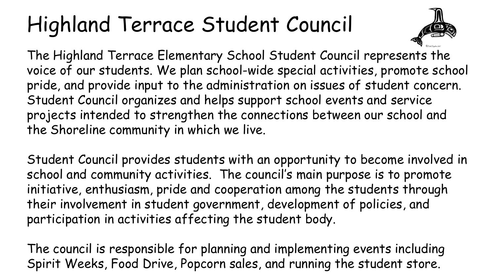### Highland Terrace Student Council



The Highland Terrace Elementary School Student Council represents the voice of our students. We plan school-wide special activities, promote school pride, and provide input to the administration on issues of student concern. Student Council organizes and helps support school events and service projects intended to strengthen the connections between our school and the Shoreline community in which we live.

Student Council provides students with an opportunity to become involved in school and community activities. The council's main purpose is to promote initiative, enthusiasm, pride and cooperation among the students through their involvement in student government, development of policies, and participation in activities affecting the student body.

The council is responsible for planning and implementing events including Spirit Weeks, Food Drive, Popcorn sales, and running the student store.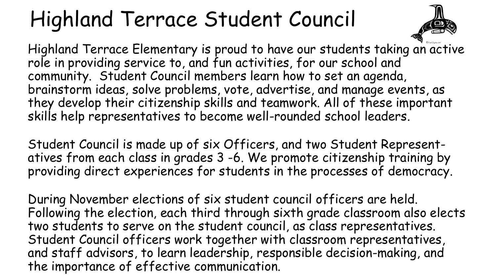### Highland Terrace Student Council



Highland Terrace Elementary is proud to have our students taking an active role in providing service to, and fun activities, for our school and community. Student Council members learn how to set an agenda, brainstorm ideas, solve problems, vote, advertise, and manage events, as they develop their citizenship skills and teamwork. All of these important skills help representatives to become well-rounded school leaders.

Student Council is made up of six Officers, and two Student Representatives from each class in grades 3 -6. We promote citizenship training by providing direct experiences for students in the processes of democracy.

During November elections of six student council officers are held. Following the election, each third through sixth grade classroom also elects two students to serve on the student council, as class representatives. Student Council officers work together with classroom representatives, and staff advisors, to learn leadership, responsible decision-making, and the importance of effective communication.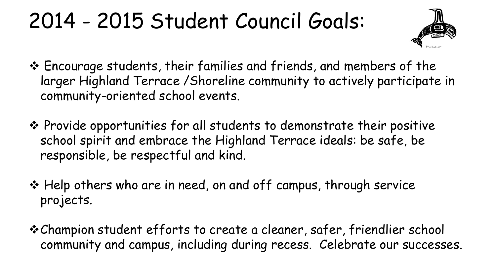### 2014 - 2015 Student Council Goals:



- Encourage students, their families and friends, and members of the larger Highland Terrace /Shoreline community to actively participate in community-oriented school events.
- Provide opportunities for all students to demonstrate their positive school spirit and embrace the Highland Terrace ideals: be safe, be responsible, be respectful and kind.
- Help others who are in need, on and off campus, through service projects.
- Champion student efforts to create a cleaner, safer, friendlier school community and campus, including during recess. Celebrate our successes.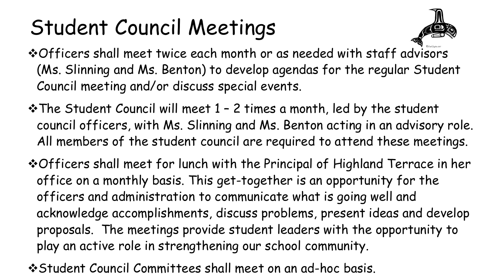### Student Council Meetings



- \* Officers shall meet twice each month or as needed with staff advisors (Ms. Slinning and Ms. Benton) to develop agendas for the regular Student Council meeting and/or discuss special events.
- The Student Council will meet 1 2 times a month, led by the student council officers, with Ms. Slinning and Ms. Benton acting in an advisory role. All members of the student council are required to attend these meetings.
- Officers shall meet for lunch with the Principal of Highland Terrace in her office on a monthly basis. This get-together is an opportunity for the officers and administration to communicate what is going well and acknowledge accomplishments, discuss problems, present ideas and develop proposals. The meetings provide student leaders with the opportunity to play an active role in strengthening our school community.
- Student Council Committees shall meet on an ad-hoc basis.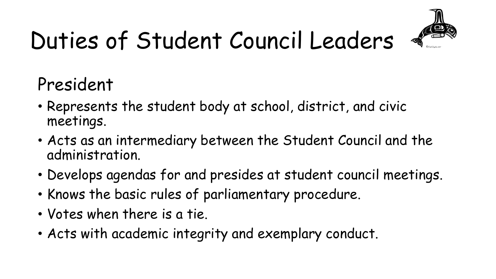

President

- Represents the student body at school, district, and civic meetings.
- Acts as an intermediary between the Student Council and the administration.
- Develops agendas for and presides at student council meetings.
- Knows the basic rules of parliamentary procedure.
- Votes when there is a tie.
- Acts with academic integrity and exemplary conduct.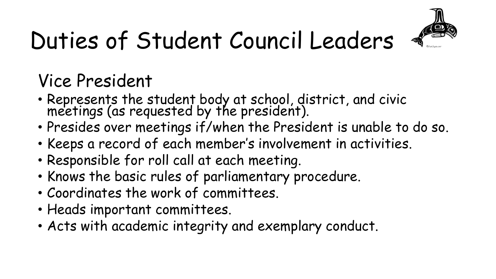

#### Vice President

- Represents the student body at school, district, and civic meetings (as requested by the president).
- Presides over meetings if/when the President is unable to do so.
- Keeps a record of each member's involvement in activities.
- Responsible for roll call at each meeting.
- Knows the basic rules of parliamentary procedure.
- Coordinates the work of committees.
- Heads important committees.
- Acts with academic integrity and exemplary conduct.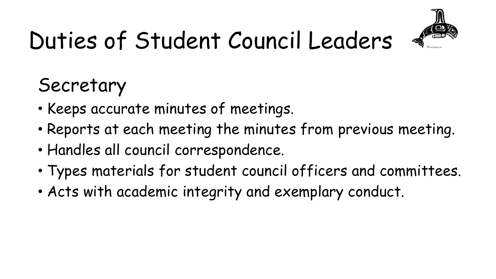

#### Secretary

- Keeps accurate minutes of meetings.
- Reports at each meeting the minutes from previous meeting.
- Handles all council correspondence.
- Types materials for student council officers and committees.
- Acts with academic integrity and exemplary conduct.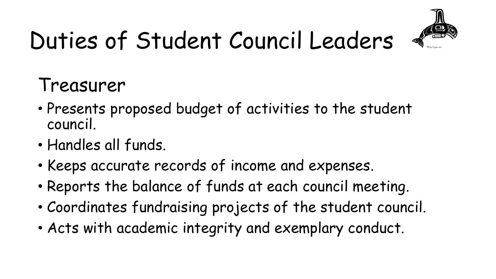

### Treasurer

- Presents proposed budget of activities to the student council.
- Handles all funds.
- Keeps accurate records of income and expenses.
- Reports the balance of funds at each council meeting.
- Coordinates fundraising projects of the student council.
- Acts with academic integrity and exemplary conduct.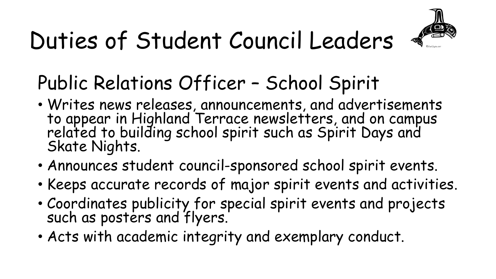

### Public Relations Officer – School Spirit

- Writes news releases, announcements, and advertisements to appear in Highland Terrace newsletters, and on campus related to building school spirit such as Spirit Days and Skate Nights.
- Announces student council-sponsored school spirit events.
- Keeps accurate records of major spirit events and activities.
- Coordinates publicity for special spirit events and projects such as posters and flyers.
- Acts with academic integrity and exemplary conduct.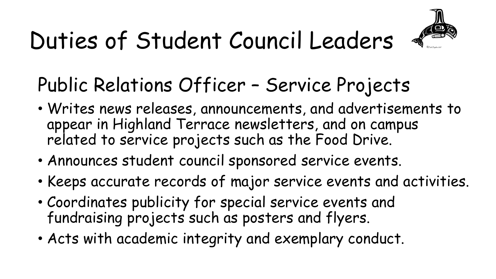

#### Public Relations Officer – Service Projects

- Writes news releases, announcements, and advertisements to appear in Highland Terrace newsletters, and on campus related to service projects such as the Food Drive.
- Announces student council sponsored service events.
- Keeps accurate records of major service events and activities.
- Coordinates publicity for special service events and fundraising projects such as posters and flyers.
- Acts with academic integrity and exemplary conduct.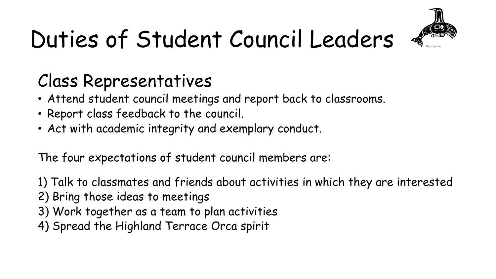

#### Class Representatives

- Attend student council meetings and report back to classrooms.
- Report class feedback to the council.
- Act with academic integrity and exemplary conduct.

The four expectations of student council members are:

1) Talk to classmates and friends about activities in which they are interested

- 2) Bring those ideas to meetings
- 3) Work together as a team to plan activities
- 4) Spread the Highland Terrace Orca spirit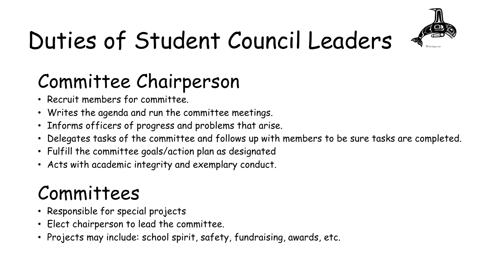

### Committee Chairperson

- Recruit members for committee.
- Writes the agenda and run the committee meetings.
- Informs officers of progress and problems that arise.
- Delegates tasks of the committee and follows up with members to be sure tasks are completed.
- Fulfill the committee goals/action plan as designated
- Acts with academic integrity and exemplary conduct.

#### Committees

- Responsible for special projects
- Elect chairperson to lead the committee.
- Projects may include: school spirit, safety, fundraising, awards, etc.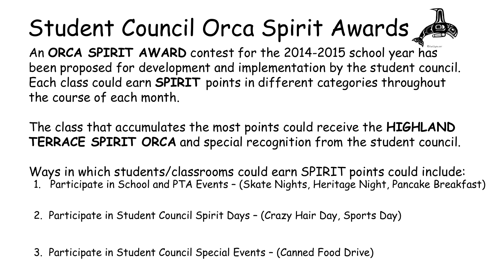# Student Council Orca Spirit Awards

An **ORCA SPIRIT AWARD** contest for the 2014-2015 school year has been proposed for development and implementation by the student council. Each class could earn **SPIRIT** points in different categories throughout the course of each month.

The class that accumulates the most points could receive the **HIGHLAND TERRACE SPIRIT ORCA** and special recognition from the student council.

1. Participate in School and PTA Events – (Skate Nights, Heritage Night, Pancake Breakfast) Ways in which students/classrooms could earn SPIRIT points could include:

2. Participate in Student Council Spirit Days – (Crazy Hair Day, Sports Day)

3. Participate in Student Council Special Events – (Canned Food Drive)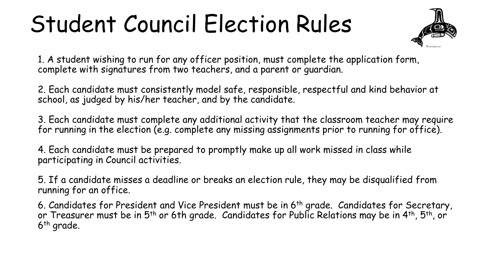### Student Council Election Rules



1. A student wishing to run for any officer position, must complete the application form, complete with signatures from two teachers, and a parent or guardian.

2. Each candidate must consistently model safe, responsible, respectful and kind behavior at school, as judged by his/her teacher, and by the candidate.

3. Each candidate must complete any additional activity that the classroom teacher may require for running in the election (e.g. complete any missing assignments prior to running for office).

4. Each candidate must be prepared to promptly make up all work missed in class while participating in Council activities.

5. If a candidate misses a deadline or breaks an election rule, they may be disqualified from running for an office.

6. Candidates for President and Vice President must be in 6th grade.  $\,$  Candidates for Secretary, or Treasurer must be in 5<sup>th</sup> or 6th grade. Candidates for Public Relations may be in 4<sup>th</sup>, 5<sup>th</sup>, or 6th grade.